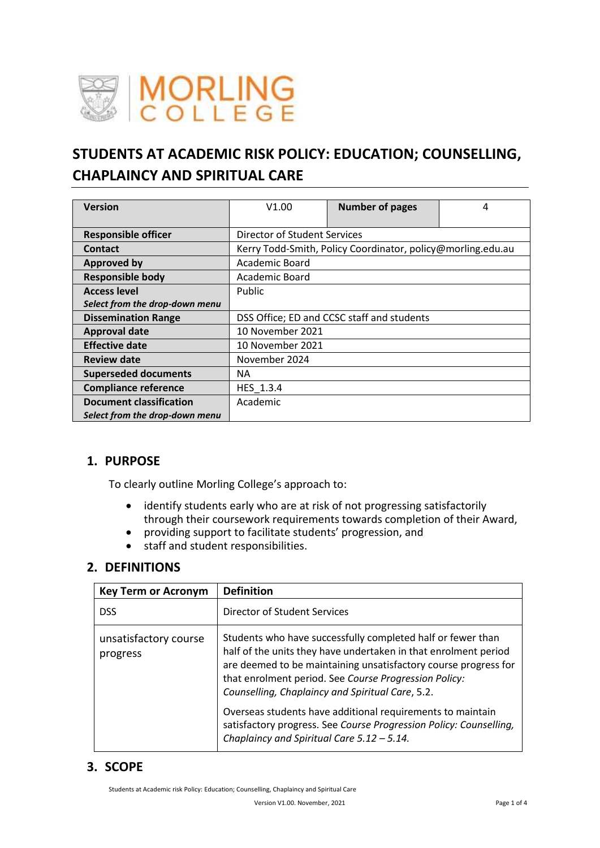

# **STUDENTS AT ACADEMIC RISK POLICY: EDUCATION; COUNSELLING, CHAPLAINCY AND SPIRITUAL CARE**

| <b>Version</b>                 | V1.00                                                       | <b>Number of pages</b> | 4 |  |  |
|--------------------------------|-------------------------------------------------------------|------------------------|---|--|--|
| <b>Responsible officer</b>     | Director of Student Services                                |                        |   |  |  |
| <b>Contact</b>                 | Kerry Todd-Smith, Policy Coordinator, policy@morling.edu.au |                        |   |  |  |
| <b>Approved by</b>             | Academic Board                                              |                        |   |  |  |
| <b>Responsible body</b>        | Academic Board                                              |                        |   |  |  |
| <b>Access level</b>            | Public                                                      |                        |   |  |  |
| Select from the drop-down menu |                                                             |                        |   |  |  |
| <b>Dissemination Range</b>     | DSS Office; ED and CCSC staff and students                  |                        |   |  |  |
| <b>Approval date</b>           | 10 November 2021                                            |                        |   |  |  |
| <b>Effective date</b>          | 10 November 2021                                            |                        |   |  |  |
| <b>Review date</b>             | November 2024                                               |                        |   |  |  |
| <b>Superseded documents</b>    | NA.                                                         |                        |   |  |  |
| <b>Compliance reference</b>    | HES 1.3.4                                                   |                        |   |  |  |
| <b>Document classification</b> | Academic                                                    |                        |   |  |  |
| Select from the drop-down menu |                                                             |                        |   |  |  |

# **1. PURPOSE**

To clearly outline Morling College's approach to:

- identify students early who are at risk of not progressing satisfactorily through their coursework requirements towards completion of their Award,
- providing support to facilitate students' progression, and
- staff and student responsibilities.

# **2. DEFINITIONS**

| <b>Key Term or Acronym</b>        | <b>Definition</b>                                                                                                                                                                                                                                                                                                                                                            |
|-----------------------------------|------------------------------------------------------------------------------------------------------------------------------------------------------------------------------------------------------------------------------------------------------------------------------------------------------------------------------------------------------------------------------|
| <b>DSS</b>                        | Director of Student Services                                                                                                                                                                                                                                                                                                                                                 |
| unsatisfactory course<br>progress | Students who have successfully completed half or fewer than<br>half of the units they have undertaken in that enrolment period<br>are deemed to be maintaining unsatisfactory course progress for<br>that enrolment period. See Course Progression Policy:<br>Counselling, Chaplaincy and Spiritual Care, 5.2.<br>Overseas students have additional requirements to maintain |
|                                   | satisfactory progress. See Course Progression Policy: Counselling,<br>Chaplaincy and Spiritual Care $5.12 - 5.14$ .                                                                                                                                                                                                                                                          |

# **3. SCOPE**

Students at Academic risk Policy: Education; Counselling, Chaplaincy and Spiritual Care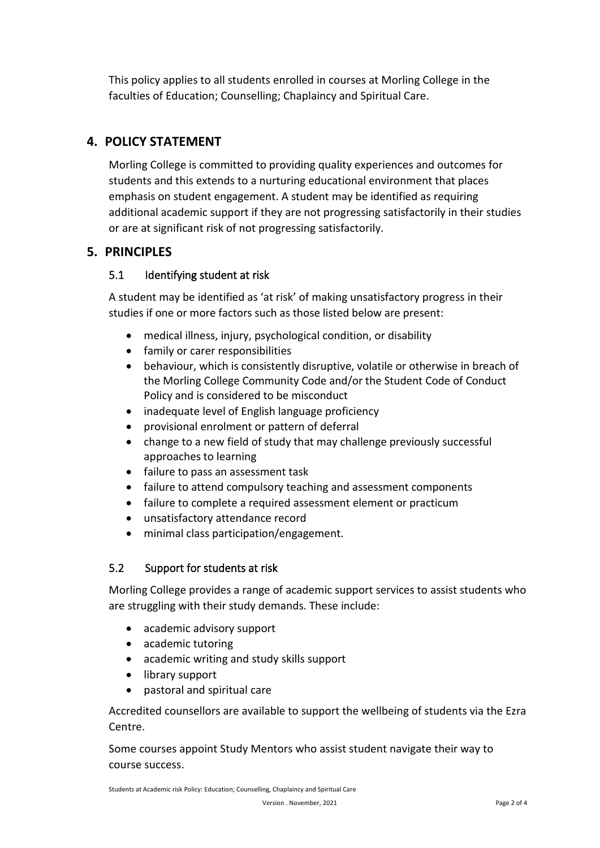This policy applies to all students enrolled in courses at Morling College in the faculties of Education; Counselling; Chaplaincy and Spiritual Care.

# **4. POLICY STATEMENT**

Morling College is committed to providing quality experiences and outcomes for students and this extends to a nurturing educational environment that places emphasis on student engagement. A student may be identified as requiring additional academic support if they are not progressing satisfactorily in their studies or are at significant risk of not progressing satisfactorily.

# **5. PRINCIPLES**

#### 5.1 Identifying student at risk

A student may be identified as 'at risk' of making unsatisfactory progress in their studies if one or more factors such as those listed below are present:

- medical illness, injury, psychological condition, or disability
- family or carer responsibilities
- behaviour, which is consistently disruptive, volatile or otherwise in breach of the Morling College Community Code and/or the Student Code of Conduct Policy and is considered to be misconduct
- inadequate level of English language proficiency
- provisional enrolment or pattern of deferral
- change to a new field of study that may challenge previously successful approaches to learning
- failure to pass an assessment task
- failure to attend compulsory teaching and assessment components
- failure to complete a required assessment element or practicum
- unsatisfactory attendance record
- minimal class participation/engagement.

#### 5.2 Support for students at risk

Morling College provides a range of academic support services to assist students who are struggling with their study demands. These include:

- academic advisory support
- academic tutoring
- academic writing and study skills support
- library support
- pastoral and spiritual care

Accredited counsellors are available to support the wellbeing of students via the Ezra Centre.

Some courses appoint Study Mentors who assist student navigate their way to course success.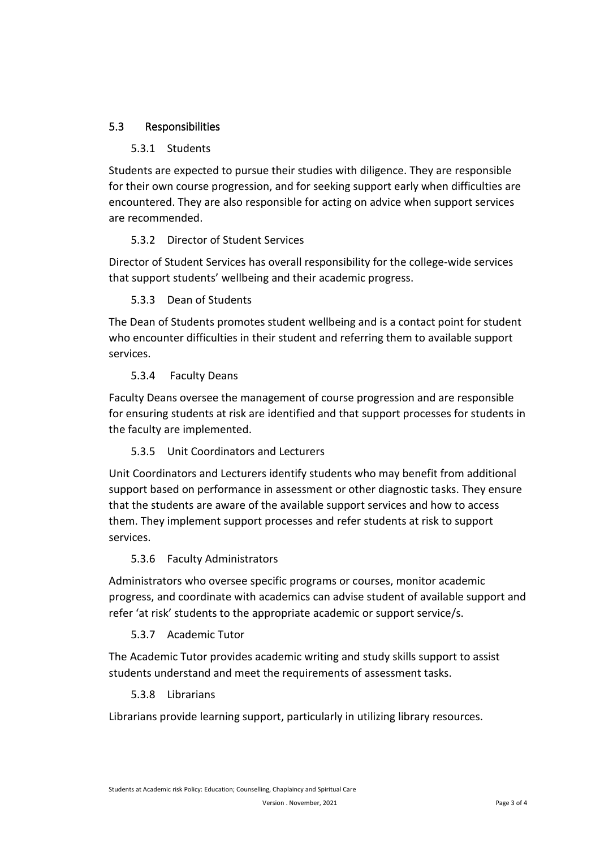### 5.3 Responsibilities

#### 5.3.1 Students

Students are expected to pursue their studies with diligence. They are responsible for their own course progression, and for seeking support early when difficulties are encountered. They are also responsible for acting on advice when support services are recommended.

#### 5.3.2 Director of Student Services

Director of Student Services has overall responsibility for the college-wide services that support students' wellbeing and their academic progress.

#### 5.3.3 Dean of Students

The Dean of Students promotes student wellbeing and is a contact point for student who encounter difficulties in their student and referring them to available support services.

#### 5.3.4 Faculty Deans

Faculty Deans oversee the management of course progression and are responsible for ensuring students at risk are identified and that support processes for students in the faculty are implemented.

#### 5.3.5 Unit Coordinators and Lecturers

Unit Coordinators and Lecturers identify students who may benefit from additional support based on performance in assessment or other diagnostic tasks. They ensure that the students are aware of the available support services and how to access them. They implement support processes and refer students at risk to support services.

#### 5.3.6 Faculty Administrators

Administrators who oversee specific programs or courses, monitor academic progress, and coordinate with academics can advise student of available support and refer 'at risk' students to the appropriate academic or support service/s.

#### 5.3.7 Academic Tutor

The Academic Tutor provides academic writing and study skills support to assist students understand and meet the requirements of assessment tasks.

#### 5.3.8 Librarians

Librarians provide learning support, particularly in utilizing library resources.